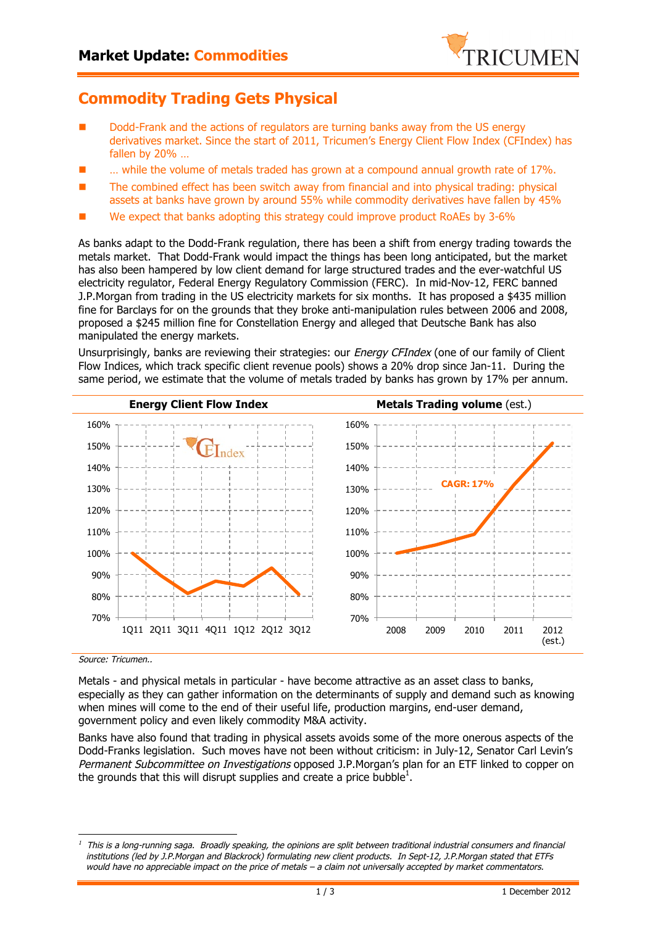

## **Commodity Trading Gets Physical**

- Dodd-Frank and the actions of regulators are turning banks away from the US energy derivatives market. Since the start of 2011, Tricumen's Energy Client Flow Index (CFIndex) has fallen by 20% …
- $n$  while the volume of metals traded has grown at a compound annual growth rate of 17%.
- The combined effect has been switch away from financial and into physical trading: physical assets at banks have grown by around 55% while commodity derivatives have fallen by 45%
- We expect that banks adopting this strategy could improve product RoAEs by 3-6%

As banks adapt to the Dodd-Frank regulation, there has been a shift from energy trading towards the metals market. That Dodd-Frank would impact the things has been long anticipated, but the market has also been hampered by low client demand for large structured trades and the ever-watchful US electricity regulator, Federal Energy Regulatory Commission (FERC). In mid-Nov-12, FERC banned J.P.Morgan from trading in the US electricity markets for six months. It has proposed a \$435 million fine for Barclays for on the grounds that they broke anti-manipulation rules between 2006 and 2008, proposed a \$245 million fine for Constellation Energy and alleged that Deutsche Bank has also manipulated the energy markets.

Unsurprisingly, banks are reviewing their strategies: our *Energy CFIndex* (one of our family of Client Flow Indices, which track specific client revenue pools) shows a 20% drop since Jan-11. During the same period, we estimate that the volume of metals traded by banks has grown by 17% per annum.



Source: Tricumen..

Metals - and physical metals in particular - have become attractive as an asset class to banks, especially as they can gather information on the determinants of supply and demand such as knowing when mines will come to the end of their useful life, production margins, end-user demand, government policy and even likely commodity M&A activity.

Banks have also found that trading in physical assets avoids some of the more onerous aspects of the Dodd-Franks legislation. Such moves have not been without criticism: in July-12, Senator Carl Levin's Permanent Subcommittee on Investigations opposed J.P.Morgan's plan for an ETF linked to copper on the grounds that this will disrupt supplies and create a price bubble<sup>1</sup>.

<sup>1</sup> This is a long-running saga. Broadly speaking, the opinions are split between traditional industrial consumers and financial institutions (led by J.P.Morgan and Blackrock) formulating new client products. In Sept-12, J.P.Morgan stated that ETFs would have no appreciable impact on the price of metals – a claim not universally accepted by market commentators.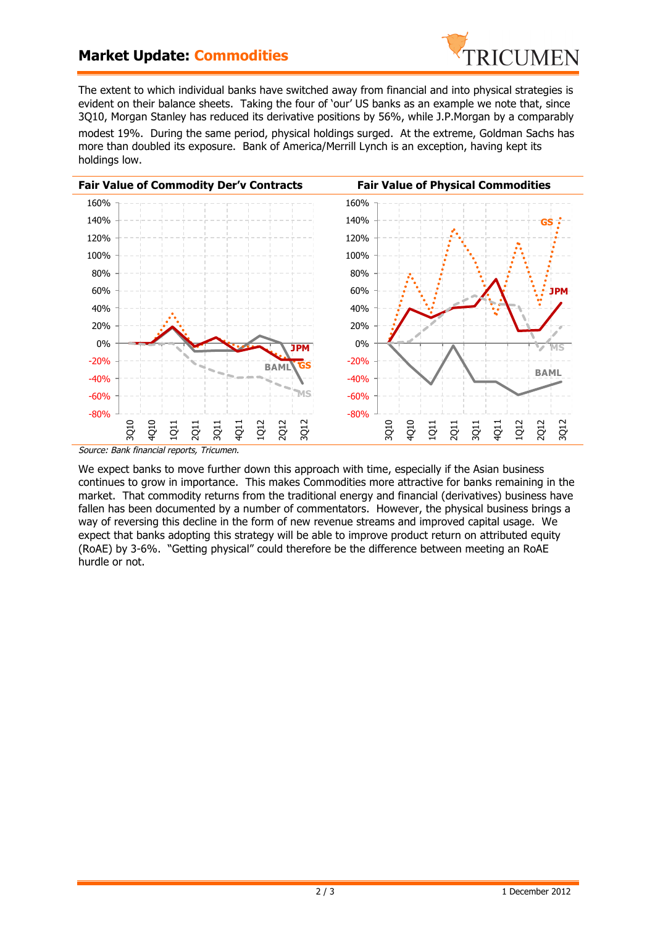## **Market Update: Commodities**



The extent to which individual banks have switched away from financial and into physical strategies is evident on their balance sheets. Taking the four of 'our' US banks as an example we note that, since 3Q10, Morgan Stanley has reduced its derivative positions by 56%, while J.P.Morgan by a comparably

modest 19%. During the same period, physical holdings surged. At the extreme, Goldman Sachs has more than doubled its exposure. Bank of America/Merrill Lynch is an exception, having kept its holdings low.



We expect banks to move further down this approach with time, especially if the Asian business continues to grow in importance. This makes Commodities more attractive for banks remaining in the market. That commodity returns from the traditional energy and financial (derivatives) business have fallen has been documented by a number of commentators. However, the physical business brings a way of reversing this decline in the form of new revenue streams and improved capital usage. We expect that banks adopting this strategy will be able to improve product return on attributed equity (RoAE) by 3-6%. "Getting physical" could therefore be the difference between meeting an RoAE hurdle or not.